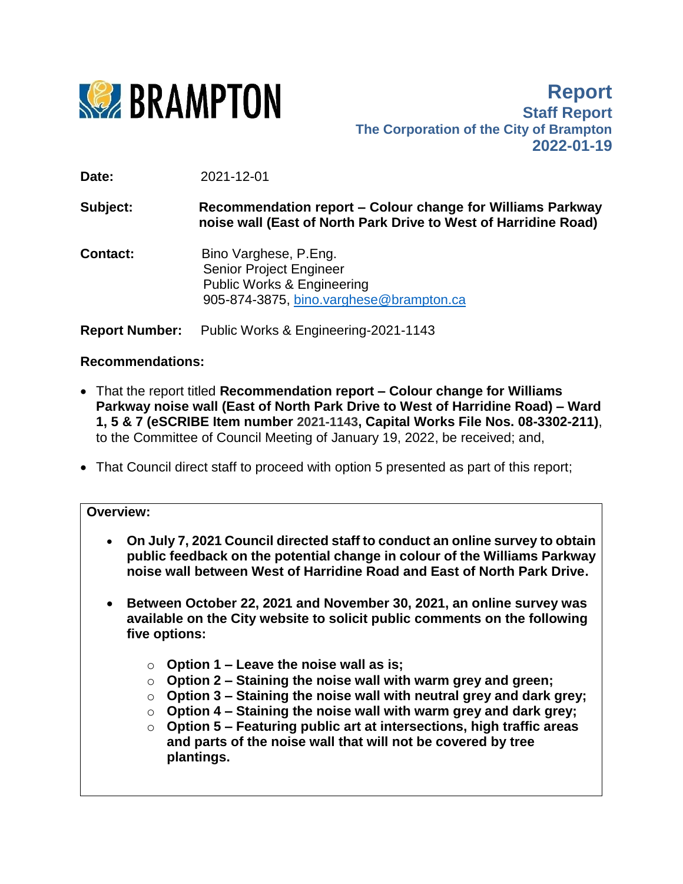

**Report Staff Report The Corporation of the City of Brampton 2022-01-19**

**Date:** 2021-12-01

**Subject: Recommendation report – Colour change for Williams Parkway noise wall (East of North Park Drive to West of Harridine Road)**

**Contact:** Bino Varghese, P.Eng. Senior Project Engineer Public Works & Engineering 905-874-3875, [bino.varghese@brampton.ca](mailto:bino.varghese@brampton.ca)

**Report Number:** Public Works & Engineering-2021-1143

## **Recommendations:**

- That the report titled **Recommendation report – Colour change for Williams Parkway noise wall (East of North Park Drive to West of Harridine Road) – Ward 1, 5 & 7 (eSCRIBE Item number 2021-1143, Capital Works File Nos. 08-3302-211)**, to the Committee of Council Meeting of January 19, 2022, be received; and,
- That Council direct staff to proceed with option 5 presented as part of this report;

#### **Overview:**

- **On July 7, 2021 Council directed staff to conduct an online survey to obtain public feedback on the potential change in colour of the Williams Parkway noise wall between West of Harridine Road and East of North Park Drive.**
- **Between October 22, 2021 and November 30, 2021, an online survey was available on the City website to solicit public comments on the following five options:**
	- o **Option 1 – Leave the noise wall as is;**
	- o **Option 2 – Staining the noise wall with warm grey and green;**
	- o **Option 3 – Staining the noise wall with neutral grey and dark grey;**
	- o **Option 4 – Staining the noise wall with warm grey and dark grey;**
	- o **Option 5 – Featuring public art at intersections, high traffic areas and parts of the noise wall that will not be covered by tree plantings.**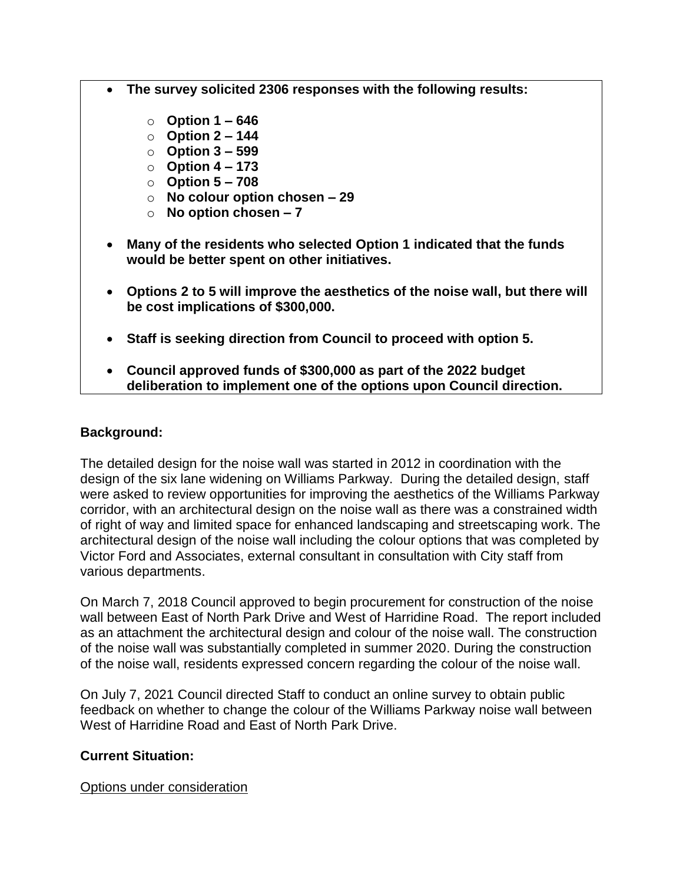- **The survey solicited 2306 responses with the following results:**
	- o **Option 1 – 646**
	- o **Option 2 – 144**
	- o **Option 3 – 599**
	- o **Option 4 – 173**
	- o **Option 5 – 708**
	- o **No colour option chosen – 29**
	- o **No option chosen – 7**
- **Many of the residents who selected Option 1 indicated that the funds would be better spent on other initiatives.**
- **Options 2 to 5 will improve the aesthetics of the noise wall, but there will be cost implications of \$300,000.**
- **Staff is seeking direction from Council to proceed with option 5.**
- **Council approved funds of \$300,000 as part of the 2022 budget deliberation to implement one of the options upon Council direction.**

# **Background:**

The detailed design for the noise wall was started in 2012 in coordination with the design of the six lane widening on Williams Parkway. During the detailed design, staff were asked to review opportunities for improving the aesthetics of the Williams Parkway corridor, with an architectural design on the noise wall as there was a constrained width of right of way and limited space for enhanced landscaping and streetscaping work. The architectural design of the noise wall including the colour options that was completed by Victor Ford and Associates, external consultant in consultation with City staff from various departments.

On March 7, 2018 Council approved to begin procurement for construction of the noise wall between East of North Park Drive and West of Harridine Road. The report included as an attachment the architectural design and colour of the noise wall. The construction of the noise wall was substantially completed in summer 2020. During the construction of the noise wall, residents expressed concern regarding the colour of the noise wall.

On July 7, 2021 Council directed Staff to conduct an online survey to obtain public feedback on whether to change the colour of the Williams Parkway noise wall between West of Harridine Road and East of North Park Drive.

## **Current Situation:**

Options under consideration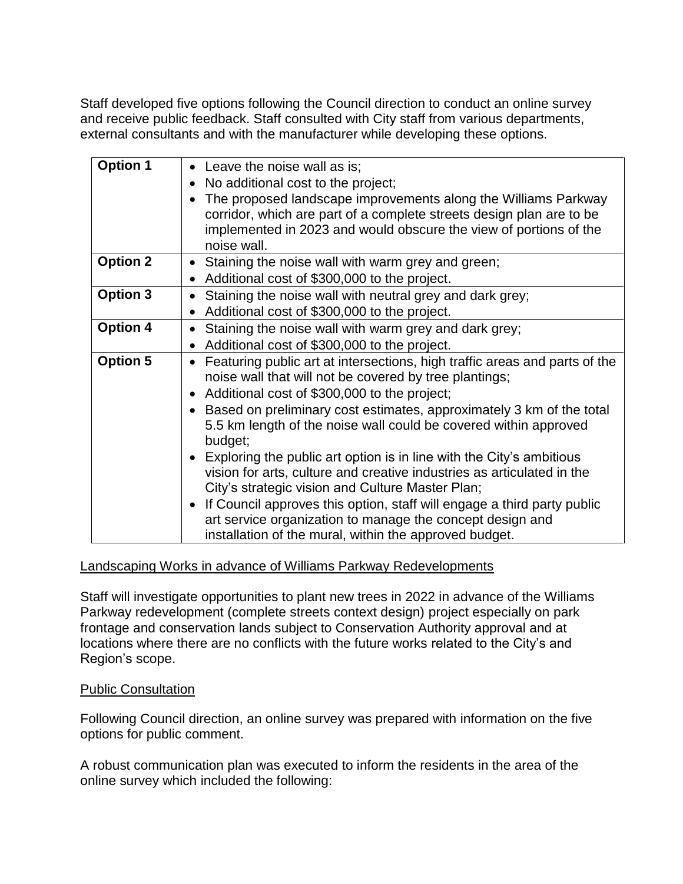Staff developed five options following the Council direction to conduct an online survey and receive public feedback. Staff consulted with City staff from various departments, external consultants and with the manufacturer while developing these options.

| <b>Option 1</b> | • Leave the noise wall as is;                                                                                                                                                                                                           |
|-----------------|-----------------------------------------------------------------------------------------------------------------------------------------------------------------------------------------------------------------------------------------|
|                 | No additional cost to the project;<br>$\bullet$                                                                                                                                                                                         |
|                 | The proposed landscape improvements along the Williams Parkway<br>$\bullet$<br>corridor, which are part of a complete streets design plan are to be<br>implemented in 2023 and would obscure the view of portions of the<br>noise wall. |
| <b>Option 2</b> | Staining the noise wall with warm grey and green;<br>$\bullet$                                                                                                                                                                          |
|                 | Additional cost of \$300,000 to the project.<br>$\bullet$                                                                                                                                                                               |
| <b>Option 3</b> | Staining the noise wall with neutral grey and dark grey;<br>$\bullet$                                                                                                                                                                   |
|                 | Additional cost of \$300,000 to the project.<br>$\bullet$                                                                                                                                                                               |
| <b>Option 4</b> | Staining the noise wall with warm grey and dark grey;<br>$\bullet$                                                                                                                                                                      |
|                 | Additional cost of \$300,000 to the project.<br>$\bullet$                                                                                                                                                                               |
| <b>Option 5</b> | Featuring public art at intersections, high traffic areas and parts of the<br>$\bullet$                                                                                                                                                 |
|                 | noise wall that will not be covered by tree plantings;                                                                                                                                                                                  |
|                 | • Additional cost of \$300,000 to the project;                                                                                                                                                                                          |
|                 | Based on preliminary cost estimates, approximately 3 km of the total<br>$\bullet$<br>5.5 km length of the noise wall could be covered within approved<br>budget;                                                                        |
|                 | • Exploring the public art option is in line with the City's ambitious<br>vision for arts, culture and creative industries as articulated in the<br>City's strategic vision and Culture Master Plan;                                    |
|                 | If Council approves this option, staff will engage a third party public<br>$\bullet$<br>art service organization to manage the concept design and<br>installation of the mural, within the approved budget.                             |

## Landscaping Works in advance of Williams Parkway Redevelopments

Staff will investigate opportunities to plant new trees in 2022 in advance of the Williams Parkway redevelopment (complete streets context design) project especially on park frontage and conservation lands subject to Conservation Authority approval and at locations where there are no conflicts with the future works related to the City's and Region's scope.

## Public Consultation

Following Council direction, an online survey was prepared with information on the five options for public comment.

A robust communication plan was executed to inform the residents in the area of the online survey which included the following: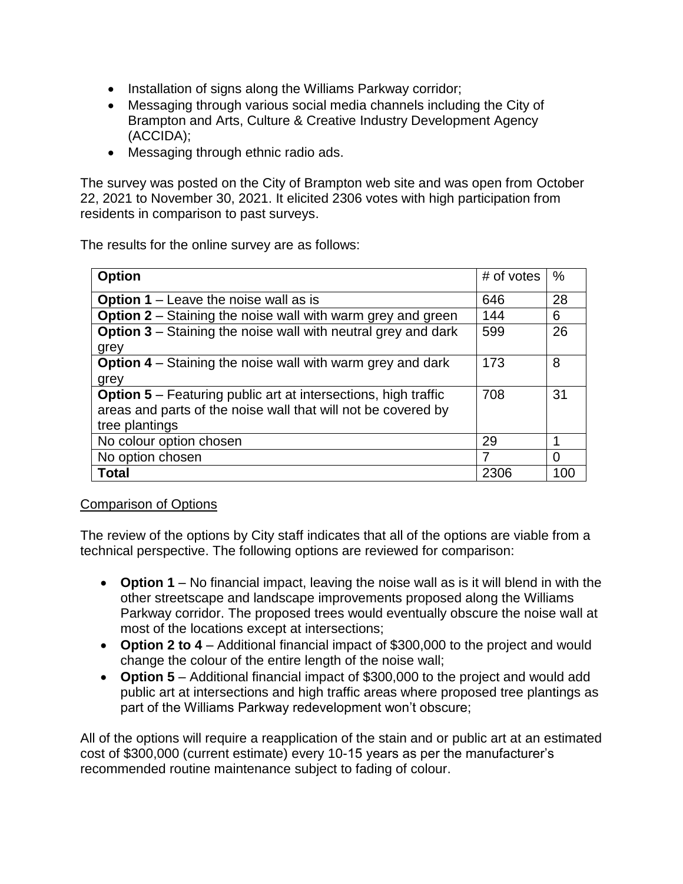- Installation of signs along the Williams Parkway corridor;
- Messaging through various social media channels including the City of Brampton and Arts, Culture & Creative Industry Development Agency (ACCIDA);
- Messaging through ethnic radio ads.

The survey was posted on the City of Brampton web site and was open from October 22, 2021 to November 30, 2021. It elicited 2306 votes with high participation from residents in comparison to past surveys.

The results for the online survey are as follows:

| <b>Option</b>                                                         | # of votes | $\%$ |
|-----------------------------------------------------------------------|------------|------|
| <b>Option 1</b> – Leave the noise wall as is                          | 646        | 28   |
| <b>Option 2</b> – Staining the noise wall with warm grey and green    | 144        | 6    |
| <b>Option 3</b> – Staining the noise wall with neutral grey and dark  | 599        | 26   |
| grey                                                                  |            |      |
| <b>Option 4</b> – Staining the noise wall with warm grey and dark     | 173        | 8    |
| grey                                                                  |            |      |
| <b>Option 5</b> – Featuring public art at intersections, high traffic | 708        | 31   |
| areas and parts of the noise wall that will not be covered by         |            |      |
| tree plantings                                                        |            |      |
| No colour option chosen                                               | 29         |      |
| No option chosen                                                      | 7          | 0    |
| <b>Total</b>                                                          | 2306       | 100  |

#### Comparison of Options

The review of the options by City staff indicates that all of the options are viable from a technical perspective. The following options are reviewed for comparison:

- **Option 1** No financial impact, leaving the noise wall as is it will blend in with the other streetscape and landscape improvements proposed along the Williams Parkway corridor. The proposed trees would eventually obscure the noise wall at most of the locations except at intersections;
- **Option 2 to 4** Additional financial impact of \$300,000 to the project and would change the colour of the entire length of the noise wall;
- **Option 5** Additional financial impact of \$300,000 to the project and would add public art at intersections and high traffic areas where proposed tree plantings as part of the Williams Parkway redevelopment won't obscure;

All of the options will require a reapplication of the stain and or public art at an estimated cost of \$300,000 (current estimate) every 10-15 years as per the manufacturer's recommended routine maintenance subject to fading of colour.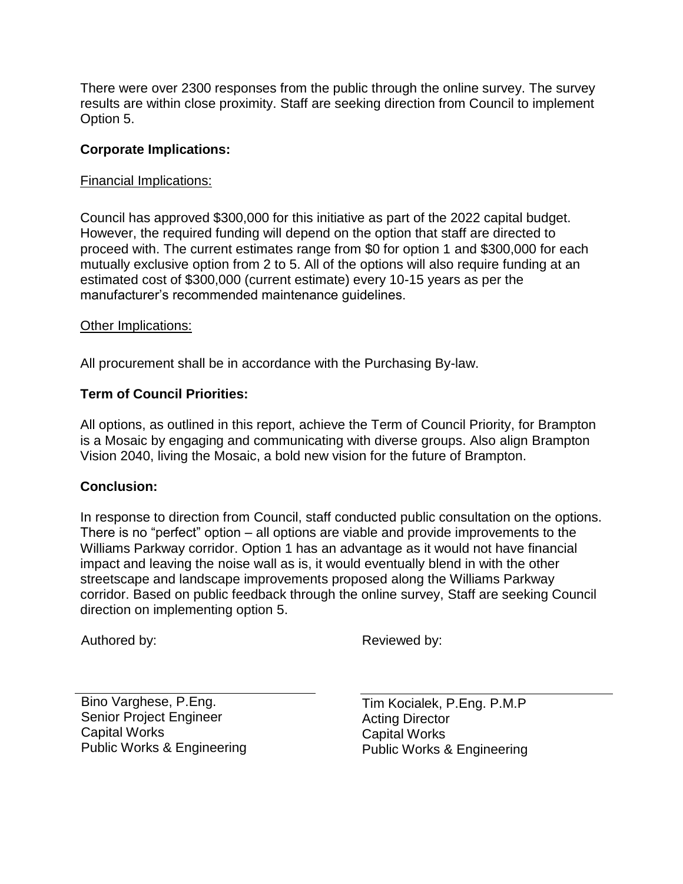There were over 2300 responses from the public through the online survey. The survey results are within close proximity. Staff are seeking direction from Council to implement Option 5.

## **Corporate Implications:**

## Financial Implications:

Council has approved \$300,000 for this initiative as part of the 2022 capital budget. However, the required funding will depend on the option that staff are directed to proceed with. The current estimates range from \$0 for option 1 and \$300,000 for each mutually exclusive option from 2 to 5. All of the options will also require funding at an estimated cost of \$300,000 (current estimate) every 10-15 years as per the manufacturer's recommended maintenance guidelines.

## Other Implications:

All procurement shall be in accordance with the Purchasing By-law.

## **Term of Council Priorities:**

All options, as outlined in this report, achieve the Term of Council Priority, for Brampton is a Mosaic by engaging and communicating with diverse groups. Also align Brampton Vision 2040, living the Mosaic, a bold new vision for the future of Brampton.

# **Conclusion:**

In response to direction from Council, staff conducted public consultation on the options. There is no "perfect" option – all options are viable and provide improvements to the Williams Parkway corridor. Option 1 has an advantage as it would not have financial impact and leaving the noise wall as is, it would eventually blend in with the other streetscape and landscape improvements proposed along the Williams Parkway corridor. Based on public feedback through the online survey, Staff are seeking Council direction on implementing option 5.

Authored by: Belleville and the Reviewed by:

Bino Varghese, P.Eng. Senior Project Engineer Capital Works Public Works & Engineering Tim Kocialek, P.Eng. P.M.P Acting Director Capital Works Public Works & Engineering